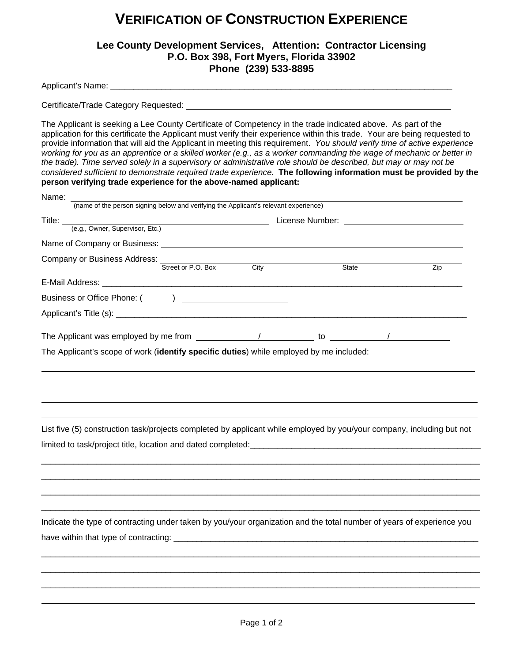## **VERIFICATION OF CONSTRUCTION EXPERIENCE**

## **Lee County Development Services, Attention: Contractor Licensing P.O. Box 398, Fort Myers, Florida 33902 Phone (239) 533-8895**

Applicant's Name:

 $\overline{a}$ 

Certificate/Trade Category Requested:

The Applicant is seeking a Lee County Certificate of Competency in the trade indicated above. As part of the application for this certificate the Applicant must verify their experience within this trade. Your are being requested to provide information that will aid the Applicant in meeting this requirement. *You should verify time of active experience working for you as an apprentice or a skilled worker (e.g., as a worker commanding the wage of mechanic or better in the trade). Time served solely in a supervisory or administrative role should be described, but may or may not be considered sufficient to demonstrate required trade experience.* **The following information must be provided by the person verifying trade experience for the above-named applicant:** 

| Name:<br>(name of the person signing below and verifying the Applicant's relevant experience)                           |      |              |     |
|-------------------------------------------------------------------------------------------------------------------------|------|--------------|-----|
|                                                                                                                         |      |              |     |
| Title: $\_$<br>(e.g., Owner, Supervisor, Etc.)                                                                          |      |              |     |
|                                                                                                                         |      |              |     |
|                                                                                                                         |      |              |     |
| Company or Business Address: Street or P.O. Box                                                                         | City | <b>State</b> | Zip |
|                                                                                                                         |      |              |     |
|                                                                                                                         |      |              |     |
|                                                                                                                         |      |              |     |
|                                                                                                                         |      |              |     |
| The Applicant was employed by me from $\frac{1}{2}$ / $\frac{1}{2}$ to $\frac{1}{2}$ to $\frac{1}{2}$                   |      |              |     |
| The Applicant's scope of work ( <b>identify specific duties</b> ) while employed by me included: ______________________ |      |              |     |
|                                                                                                                         |      |              |     |
|                                                                                                                         |      |              |     |
|                                                                                                                         |      |              |     |
|                                                                                                                         |      |              |     |
|                                                                                                                         |      |              |     |
| List five (5) construction task/projects completed by applicant while employed by you/your company, including but not   |      |              |     |
|                                                                                                                         |      |              |     |
|                                                                                                                         |      |              |     |
|                                                                                                                         |      |              |     |
|                                                                                                                         |      |              |     |
|                                                                                                                         |      |              |     |
|                                                                                                                         |      |              |     |
|                                                                                                                         |      |              |     |
| Indicate the type of contracting under taken by you/your organization and the total number of years of experience you   |      |              |     |
|                                                                                                                         |      |              |     |
|                                                                                                                         |      |              |     |
|                                                                                                                         |      |              |     |
|                                                                                                                         |      |              |     |
|                                                                                                                         |      |              |     |